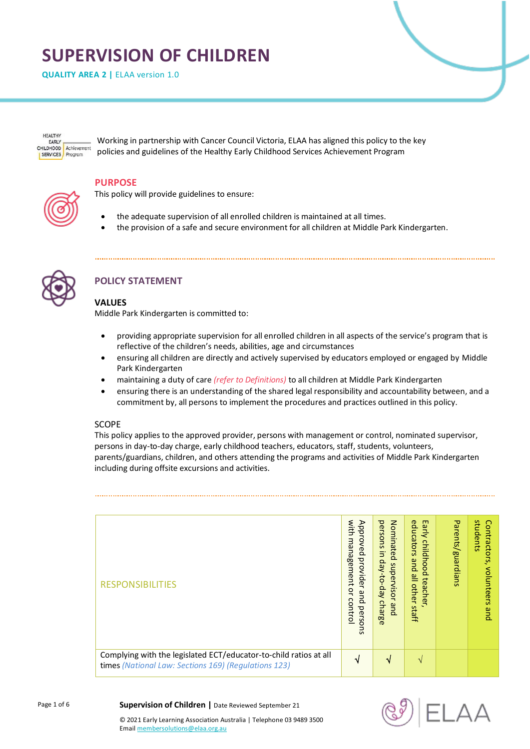# **SUPERVISION OF CHILDREN**

**QUALITY AREA 2** | ELAA version 1.0

HEALTHY FARLY CHILDHOOD Achievement SERVICES Progra

Working in partnership with Cancer Council Victoria, ELAA has aligned this policy to the key policies and guidelines of the Healthy Early Childhood Services Achievement Program

#### **PURPOSE**

This policy will provide guidelines to ensure:

- the adequate supervision of all enrolled children is maintained at all times.
- the provision of a safe and secure environment for all children at Middle Park Kindergarten.



# **POLICY STATEMENT**

### **VALUES**

Middle Park Kindergarten is committed to:

- providing appropriate supervision for all enrolled children in all aspects of the service's program that is reflective of the children's needs, abilities, age and circumstances
- ensuring all children are directly and actively supervised by educators employed or engaged by Middle Park Kindergarten
- maintaining a duty of care *(refer to Definitions)* to all children at Middle Park Kindergarten
- ensuring there is an understanding of the shared legal responsibility and accountability between, and a commitment by, all persons to implement the procedures and practices outlined in this policy.

#### SCOPE

This policy applies to the approved provider, persons with management or control, nominated supervisor, persons in day-to-day charge, early childhood teachers, educators, staff, students, volunteers, parents/guardians, children, and others attending the programs and activities of Middle Park Kindergarten including during offsite excursions and activities.

| <b>RESPONSIBILITIES</b>                                                                                                   | with<br>Approved<br>management<br>provide<br>$\overline{\phantom{a}}$<br>ă<br>and<br>control<br>persol<br>$\overline{5}$ | persons<br>Nominated<br>$\overline{5}$<br>day-to-<br>supervisor<br><b>Jay</b><br>charge<br>gnd | educators<br>Early<br>childhood<br>pue<br>≌<br>teacher<br><b>other</b><br>staff | Parents/guardians | students<br>Contractors,<br>volunteers<br>pue |
|---------------------------------------------------------------------------------------------------------------------------|--------------------------------------------------------------------------------------------------------------------------|------------------------------------------------------------------------------------------------|---------------------------------------------------------------------------------|-------------------|-----------------------------------------------|
| Complying with the legislated ECT/educator-to-child ratios at all<br>times (National Law: Sections 169) (Regulations 123) | N                                                                                                                        | N                                                                                              | $\mathcal{N}$                                                                   |                   |                                               |



#### Page 1 of 6

**Supervision of Children |** Date Reviewed September 21

© 2021 Early Learning Association Australia | Telephone 03 9489 3500 Emai[l membersolutions@elaa.org.au](mailto:membersolutions@elaa.org.au)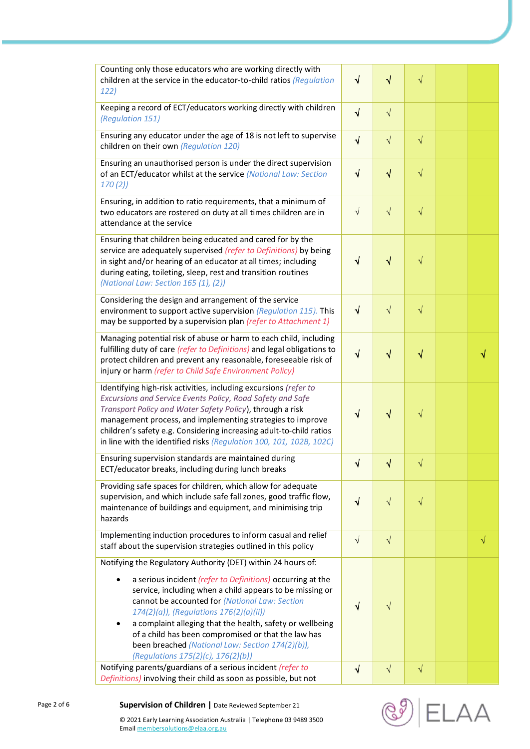| Counting only those educators who are working directly with<br>children at the service in the educator-to-child ratios (Regulation<br>122)                                                                                                                                                                                                                                                              | $\sqrt{}$  | $\sqrt{}$  | $\sqrt{}$ |           |
|---------------------------------------------------------------------------------------------------------------------------------------------------------------------------------------------------------------------------------------------------------------------------------------------------------------------------------------------------------------------------------------------------------|------------|------------|-----------|-----------|
| Keeping a record of ECT/educators working directly with children<br>(Regulation 151)                                                                                                                                                                                                                                                                                                                    | $\sqrt{ }$ | $\sqrt{}$  |           |           |
| Ensuring any educator under the age of 18 is not left to supervise<br>children on their own (Regulation 120)                                                                                                                                                                                                                                                                                            | $\sqrt{}$  | $\sqrt{}$  | $\sqrt{}$ |           |
| Ensuring an unauthorised person is under the direct supervision<br>of an ECT/educator whilst at the service (National Law: Section<br>170(2)                                                                                                                                                                                                                                                            | $\sqrt{ }$ | $\sqrt{}$  | $\sqrt{}$ |           |
| Ensuring, in addition to ratio requirements, that a minimum of<br>two educators are rostered on duty at all times children are in<br>attendance at the service                                                                                                                                                                                                                                          | $\sqrt{ }$ | $\sqrt{}$  | $\sqrt{}$ |           |
| Ensuring that children being educated and cared for by the<br>service are adequately supervised (refer to Definitions) by being<br>in sight and/or hearing of an educator at all times; including<br>during eating, toileting, sleep, rest and transition routines<br>(National Law: Section 165 (1), (2))                                                                                              | V          | $\sqrt{}$  | $\sqrt{}$ |           |
| Considering the design and arrangement of the service<br>environment to support active supervision (Regulation 115). This<br>may be supported by a supervision plan (refer to Attachment 1)                                                                                                                                                                                                             | $\sqrt{}$  | $\sqrt{}$  | $\sqrt{}$ |           |
| Managing potential risk of abuse or harm to each child, including<br>fulfilling duty of care (refer to Definitions) and legal obligations to<br>protect children and prevent any reasonable, foreseeable risk of<br>injury or harm (refer to Child Safe Environment Policy)                                                                                                                             | $\sqrt{}$  | $\sqrt{}$  | √         |           |
| Identifying high-risk activities, including excursions (refer to<br>Excursions and Service Events Policy, Road Safety and Safe<br>Transport Policy and Water Safety Policy), through a risk<br>management process, and implementing strategies to improve<br>children's safety e.g. Considering increasing adult-to-child ratios<br>in line with the identified risks (Regulation 100, 101, 102B, 102C) | √          | $\sqrt{}$  | $\sqrt{}$ |           |
| Ensuring supervision standards are maintained during<br>ECT/educator breaks, including during lunch breaks                                                                                                                                                                                                                                                                                              | $\sqrt{ }$ |            |           |           |
| Providing safe spaces for children, which allow for adequate<br>supervision, and which include safe fall zones, good traffic flow,<br>maintenance of buildings and equipment, and minimising trip<br>hazards                                                                                                                                                                                            | $\sqrt{}$  | $\sqrt{}$  | $\sqrt{}$ |           |
| Implementing induction procedures to inform casual and relief<br>staff about the supervision strategies outlined in this policy                                                                                                                                                                                                                                                                         | $\sqrt{}$  | $\sqrt{ }$ |           | $\sqrt{}$ |
| Notifying the Regulatory Authority (DET) within 24 hours of:                                                                                                                                                                                                                                                                                                                                            |            |            |           |           |
| a serious incident (refer to Definitions) occurring at the<br>service, including when a child appears to be missing or<br>cannot be accounted for (National Law: Section<br>174(2)(a)), (Regulations 176(2)(a)(ii))<br>a complaint alleging that the health, safety or wellbeing<br>of a child has been compromised or that the law has                                                                 | $\sqrt{}$  | $\sqrt{}$  |           |           |
| been breached (National Law: Section 174(2)(b)),<br>(Regulations 175(2)(c), 176(2)(b))                                                                                                                                                                                                                                                                                                                  |            |            |           |           |
| Notifying parents/guardians of a serious incident (refer to<br>Definitions) involving their child as soon as possible, but not                                                                                                                                                                                                                                                                          |            | $\sqrt{}$  | $\sqrt{}$ |           |



Emai[l membersolutions@elaa.org.au](mailto:membersolutions@elaa.org.au)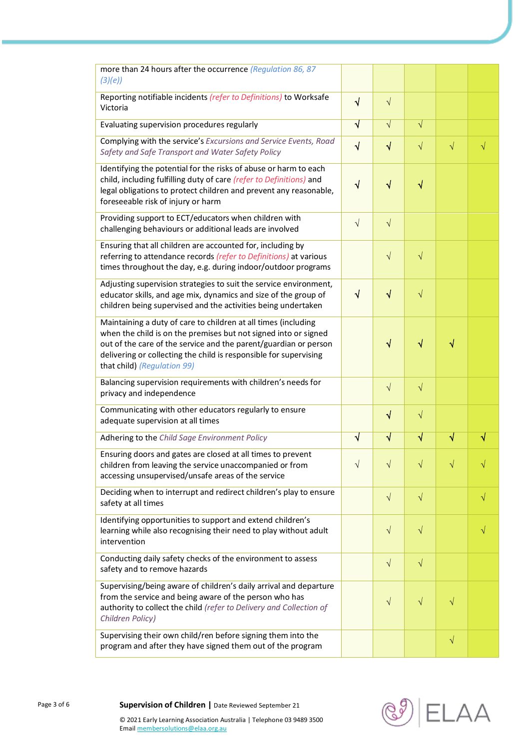| more than 24 hours after the occurrence (Regulation 86, 87<br>(3)(e)                                                                                                                                                                                                                                      |            |            |           |           |           |
|-----------------------------------------------------------------------------------------------------------------------------------------------------------------------------------------------------------------------------------------------------------------------------------------------------------|------------|------------|-----------|-----------|-----------|
| Reporting notifiable incidents (refer to Definitions) to Worksafe<br>Victoria                                                                                                                                                                                                                             |            | $\sqrt{}$  |           |           |           |
| Evaluating supervision procedures regularly                                                                                                                                                                                                                                                               | $\sqrt{ }$ | $\sqrt{}$  | $\sqrt{}$ |           |           |
| Complying with the service's Excursions and Service Events, Road<br>Safety and Safe Transport and Water Safety Policy                                                                                                                                                                                     | $\sqrt{ }$ | $\sqrt{}$  | $\sqrt{}$ | $\sqrt{}$ | $\sqrt{}$ |
| Identifying the potential for the risks of abuse or harm to each<br>child, including fulfilling duty of care (refer to Definitions) and<br>legal obligations to protect children and prevent any reasonable,<br>foreseeable risk of injury or harm                                                        | $\sqrt{}$  | $\sqrt{}$  | $\sqrt{}$ |           |           |
| Providing support to ECT/educators when children with<br>challenging behaviours or additional leads are involved                                                                                                                                                                                          | $\sqrt{ }$ | $\sqrt{ }$ |           |           |           |
| Ensuring that all children are accounted for, including by<br>referring to attendance records (refer to Definitions) at various<br>times throughout the day, e.g. during indoor/outdoor programs                                                                                                          |            | $\sqrt{}$  | $\sqrt{}$ |           |           |
| Adjusting supervision strategies to suit the service environment,<br>educator skills, and age mix, dynamics and size of the group of<br>children being supervised and the activities being undertaken                                                                                                     | $\sqrt{ }$ | $\sqrt{}$  | $\sqrt{}$ |           |           |
| Maintaining a duty of care to children at all times (including<br>when the child is on the premises but not signed into or signed<br>out of the care of the service and the parent/guardian or person<br>delivering or collecting the child is responsible for supervising<br>that child) (Regulation 99) |            | $\sqrt{}$  | $\sqrt{}$ | √         |           |
| Balancing supervision requirements with children's needs for<br>privacy and independence                                                                                                                                                                                                                  |            | $\sqrt{ }$ | $\sqrt{}$ |           |           |
| Communicating with other educators regularly to ensure<br>adequate supervision at all times                                                                                                                                                                                                               |            | $\sqrt{}$  | $\sqrt{}$ |           |           |
| Adhering to the Child Sage Environment Policy                                                                                                                                                                                                                                                             | $\sqrt{}$  | $\sqrt{}$  | $\sqrt{}$ | N         |           |
| Ensuring doors and gates are closed at all times to prevent<br>children from leaving the service unaccompanied or from<br>accessing unsupervised/unsafe areas of the service                                                                                                                              |            |            |           |           |           |
| Deciding when to interrupt and redirect children's play to ensure<br>safety at all times                                                                                                                                                                                                                  |            | $\sqrt{}$  | $\sqrt{}$ |           | $\sqrt{}$ |
| Identifying opportunities to support and extend children's<br>learning while also recognising their need to play without adult<br>intervention                                                                                                                                                            |            | $\sqrt{}$  | $\sqrt{}$ |           |           |
| Conducting daily safety checks of the environment to assess<br>safety and to remove hazards                                                                                                                                                                                                               |            | $\sqrt{}$  | $\sqrt{}$ |           |           |
| Supervising/being aware of children's daily arrival and departure<br>from the service and being aware of the person who has<br>authority to collect the child (refer to Delivery and Collection of<br>Children Policy)                                                                                    |            | $\sqrt{}$  | $\sqrt{}$ | $\sqrt{}$ |           |
| Supervising their own child/ren before signing them into the<br>program and after they have signed them out of the program                                                                                                                                                                                |            |            |           | $\sqrt{}$ |           |

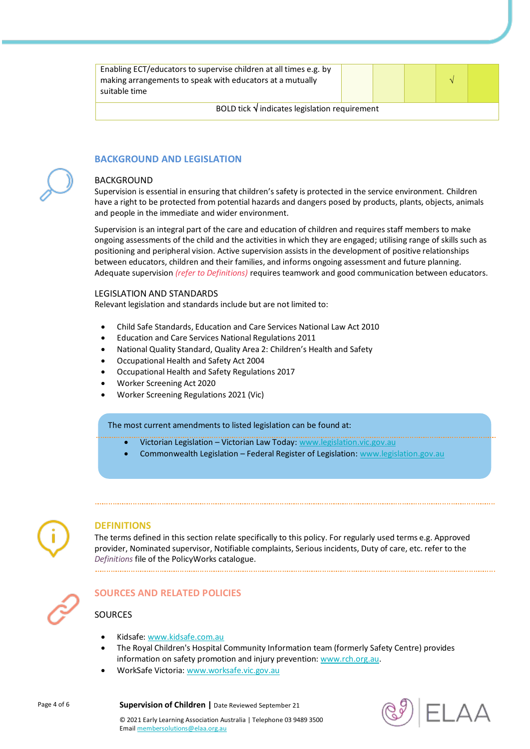| Enabling ECT/educators to supervise children at all times e.g. by<br>making arrangements to speak with educators at a mutually<br>suitable time |  |  |  |  |  |
|-------------------------------------------------------------------------------------------------------------------------------------------------|--|--|--|--|--|
| BOLD tick $\sqrt{}$ indicates legislation requirement                                                                                           |  |  |  |  |  |

## **BACKGROUND AND LEGISLATION**

#### BACKGROUND

Supervision is essential in ensuring that children's safety is protected in the service environment. Children have a right to be protected from potential hazards and dangers posed by products, plants, objects, animals and people in the immediate and wider environment.

Supervision is an integral part of the care and education of children and requires staff members to make ongoing assessments of the child and the activities in which they are engaged; utilising range of skills such as positioning and peripheral vision. Active supervision assists in the development of positive relationships between educators, children and their families, and informs ongoing assessment and future planning. Adequate supervision *(refer to Definitions)* requires teamwork and good communication between educators.

#### LEGISLATION AND STANDARDS

Relevant legislation and standards include but are not limited to:

- Child Safe Standards, Education and Care Services National Law Act 2010
- Education and Care Services National Regulations 2011
- National Quality Standard, Quality Area 2: Children's Health and Safety
- Occupational Health and Safety Act 2004
- Occupational Health and Safety Regulations 2017
- Worker Screening Act 2020
- Worker Screening Regulations 2021 (Vic)

#### The most current amendments to listed legislation can be found at:

- Victorian Legislation Victorian Law Today: [www.legislation.vic.gov.au](http://www.legislation.vic.gov.au/)
	- Commonwealth Legislation Federal Register of Legislation: [www.legislation.gov.au](http://www.legislation.gov.au/)



#### **DEFINITIONS**

The terms defined in this section relate specifically to this policy. For regularly used terms e.g. Approved provider, Nominated supervisor, Notifiable complaints, Serious incidents, Duty of care, etc. refer to the *Definitions* file of the PolicyWorks catalogue. 



## **SOURCES AND RELATED POLICIES**

## SOURCES

- Kidsafe[: www.kidsafe.com.au](http://www.kidsafe.com.au/)
- The Royal Children's Hospital Community Information team (formerly Safety Centre) provides information on safety promotion and injury prevention: [www.rch.org.au.](https://www.rch.org.au/home/)
- WorkSafe Victoria[: www.worksafe.vic.gov.au](http://www.worksafe.vic.gov.au/)

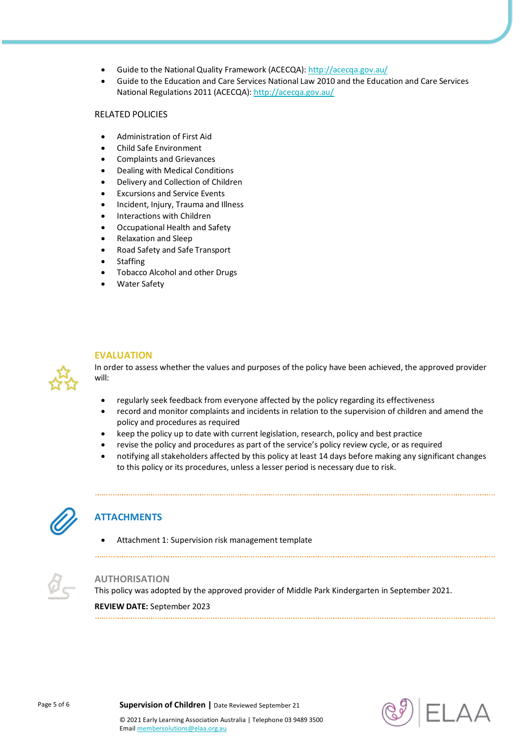- Guide to the National Quality Framework (ACECQA)[: http://acecqa.gov.au/](http://acecqa.gov.au/)
- Guide to the Education and Care Services National Law 2010 and the Education and Care Services National Regulations 2011 (ACECQA):<http://acecqa.gov.au/>

## RELATED POLICIES

- Administration of First Aid
- Child Safe Environment
- Complaints and Grievances
- Dealing with Medical Conditions
- Delivery and Collection of Children
- Excursions and Service Events
- Incident, Injury, Trauma and Illness
- Interactions with Children
- Occupational Health and Safety
- Relaxation and Sleep
- Road Safety and Safe Transport
- **Staffing**
- Tobacco Alcohol and other Drugs
- Water Safety

## **EVALUATION**

In order to assess whether the values and purposes of the policy have been achieved, the approved provider will:

- regularly seek feedback from everyone affected by the policy regarding its effectiveness
- record and monitor complaints and incidents in relation to the supervision of children and amend the policy and procedures as required
- keep the policy up to date with current legislation, research, policy and best practice
- revise the policy and procedures as part of the service's policy review cycle, or as required
- notifying all stakeholders affected by this policy at least 14 days before making any significant changes to this policy or its procedures, unless a lesser period is necessary due to risk.



## **ATTACHMENTS**

Attachment 1: Supervision risk management template



## **AUTHORISATION**

This policy was adopted by the approved provider of Middle Park Kindergarten in September 2021.

**REVIEW DATE:** September 2023